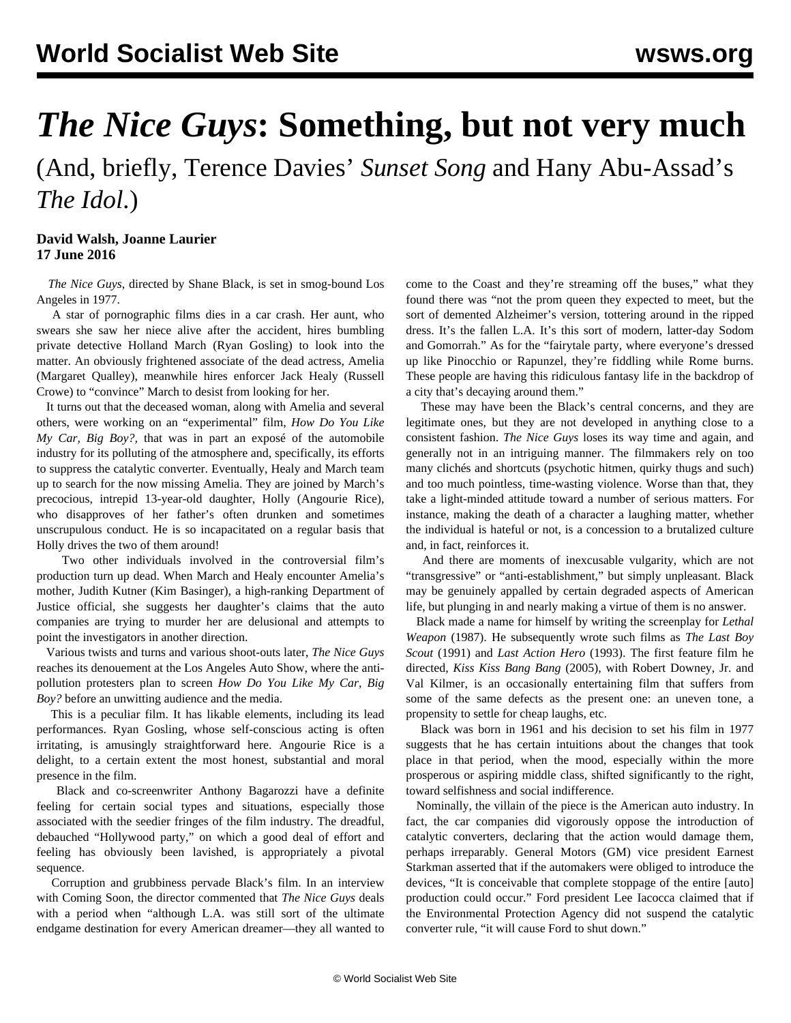## *The Nice Guys***: Something, but not very much**

(And, briefly, Terence Davies' *Sunset Song* and Hany Abu-Assad's *The Idol*.)

## **David Walsh, Joanne Laurier 17 June 2016**

 *The Nice Guys*, directed by Shane Black, is set in smog-bound Los Angeles in 1977.

 A star of pornographic films dies in a car crash. Her aunt, who swears she saw her niece alive after the accident, hires bumbling private detective Holland March (Ryan Gosling) to look into the matter. An obviously frightened associate of the dead actress, Amelia (Margaret Qualley), meanwhile hires enforcer Jack Healy (Russell Crowe) to "convince" March to desist from looking for her.

 It turns out that the deceased woman, along with Amelia and several others, were working on an "experimental" film, *How Do You Like My Car, Big Boy?,* that was in part an exposé of the automobile industry for its polluting of the atmosphere and, specifically, its efforts to suppress the catalytic converter. Eventually, Healy and March team up to search for the now missing Amelia. They are joined by March's precocious, intrepid 13-year-old daughter, Holly (Angourie Rice), who disapproves of her father's often drunken and sometimes unscrupulous conduct. He is so incapacitated on a regular basis that Holly drives the two of them around!

 Two other individuals involved in the controversial film's production turn up dead. When March and Healy encounter Amelia's mother, Judith Kutner (Kim Basinger), a high-ranking Department of Justice official, she suggests her daughter's claims that the auto companies are trying to murder her are delusional and attempts to point the investigators in another direction.

 Various twists and turns and various shoot-outs later, *The Nice Guys* reaches its denouement at the Los Angeles Auto Show, where the antipollution protesters plan to screen *How Do You Like My Car, Big Boy?* before an unwitting audience and the media.

 This is a peculiar film. It has likable elements, including its lead performances. Ryan Gosling, whose self-conscious acting is often irritating, is amusingly straightforward here. Angourie Rice is a delight, to a certain extent the most honest, substantial and moral presence in the film.

 Black and co-screenwriter Anthony Bagarozzi have a definite feeling for certain social types and situations, especially those associated with the seedier fringes of the film industry. The dreadful, debauched "Hollywood party," on which a good deal of effort and feeling has obviously been lavished, is appropriately a pivotal sequence.

 Corruption and grubbiness pervade Black's film. In an interview with Coming Soon, the director commented that *The Nice Guys* deals with a period when "although L.A. was still sort of the ultimate endgame destination for every American dreamer—they all wanted to come to the Coast and they're streaming off the buses," what they found there was "not the prom queen they expected to meet, but the sort of demented Alzheimer's version, tottering around in the ripped dress. It's the fallen L.A. It's this sort of modern, latter-day Sodom and Gomorrah." As for the "fairytale party, where everyone's dressed up like Pinocchio or Rapunzel, they're fiddling while Rome burns. These people are having this ridiculous fantasy life in the backdrop of a city that's decaying around them."

 These may have been the Black's central concerns, and they are legitimate ones, but they are not developed in anything close to a consistent fashion. *The Nice Guys* loses its way time and again, and generally not in an intriguing manner. The filmmakers rely on too many clichés and shortcuts (psychotic hitmen, quirky thugs and such) and too much pointless, time-wasting violence. Worse than that, they take a light-minded attitude toward a number of serious matters. For instance, making the death of a character a laughing matter, whether the individual is hateful or not, is a concession to a brutalized culture and, in fact, reinforces it.

 And there are moments of inexcusable vulgarity, which are not "transgressive" or "anti-establishment," but simply unpleasant. Black may be genuinely appalled by certain degraded aspects of American life, but plunging in and nearly making a virtue of them is no answer.

 Black made a name for himself by writing the screenplay for *Lethal Weapon* (1987). He subsequently wrote such films as *The Last Boy Scout* (1991) and *Last Action Hero* (1993). The first feature film he directed, *Kiss Kiss Bang Bang* (2005), with Robert Downey, Jr. and Val Kilmer, is an occasionally entertaining film that suffers from some of the same defects as the present one: an uneven tone, a propensity to settle for cheap laughs, etc.

 Black was born in 1961 and his decision to set his film in 1977 suggests that he has certain intuitions about the changes that took place in that period, when the mood, especially within the more prosperous or aspiring middle class, shifted significantly to the right, toward selfishness and social indifference.

 Nominally, the villain of the piece is the American auto industry. In fact, the car companies did vigorously oppose the introduction of catalytic converters, declaring that the action would damage them, perhaps irreparably. General Motors (GM) vice president Earnest Starkman asserted that if the automakers were obliged to introduce the devices, "It is conceivable that complete stoppage of the entire [auto] production could occur." Ford president Lee Iacocca claimed that if the Environmental Protection Agency did not suspend the catalytic converter rule, "it will cause Ford to shut down."